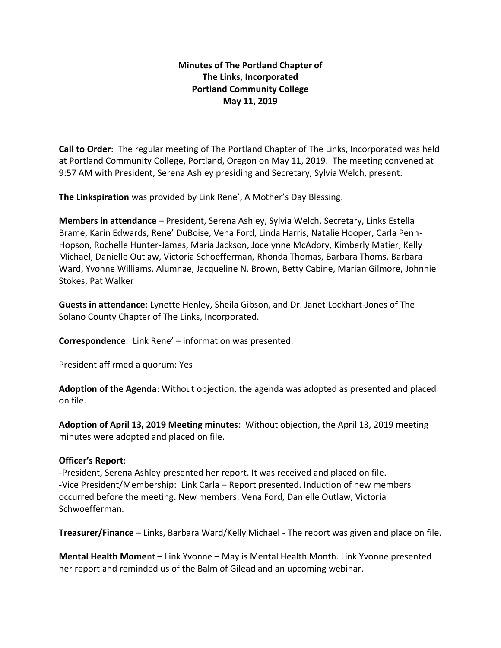# **Minutes of The Portland Chapter of The Links, Incorporated Portland Community College May 11, 2019**

**Call to Order**: The regular meeting of The Portland Chapter of The Links, Incorporated was held at Portland Community College, Portland, Oregon on May 11, 2019. The meeting convened at 9:57 AM with President, Serena Ashley presiding and Secretary, Sylvia Welch, present.

**The Linkspiration** was provided by Link Rene', A Mother's Day Blessing.

**Members in attendance** – President, Serena Ashley, Sylvia Welch, Secretary, Links Estella Brame, Karin Edwards, Rene' DuBoise, Vena Ford, Linda Harris, Natalie Hooper, Carla Penn-Hopson, Rochelle Hunter-James, Maria Jackson, Jocelynne McAdory, Kimberly Matier, Kelly Michael, Danielle Outlaw, Victoria Schoefferman, Rhonda Thomas, Barbara Thoms, Barbara Ward, Yvonne Williams. Alumnae, Jacqueline N. Brown, Betty Cabine, Marian Gilmore, Johnnie Stokes, Pat Walker

**Guests in attendance**: Lynette Henley, Sheila Gibson, and Dr. Janet Lockhart-Jones of The Solano County Chapter of The Links, Incorporated.

**Correspondence**: Link Rene' – information was presented.

President affirmed a quorum: Yes

**Adoption of the Agenda**: Without objection, the agenda was adopted as presented and placed on file.

**Adoption of April 13, 2019 Meeting minutes**: Without objection, the April 13, 2019 meeting minutes were adopted and placed on file.

#### **Officer's Report**:

-President, Serena Ashley presented her report. It was received and placed on file. -Vice President/Membership: Link Carla – Report presented. Induction of new members occurred before the meeting. New members: Vena Ford, Danielle Outlaw, Victoria Schwoefferman.

**Treasurer/Finance** – Links, Barbara Ward/Kelly Michael - The report was given and place on file.

**Mental Health Mome**nt – Link Yvonne – May is Mental Health Month. Link Yvonne presented her report and reminded us of the Balm of Gilead and an upcoming webinar.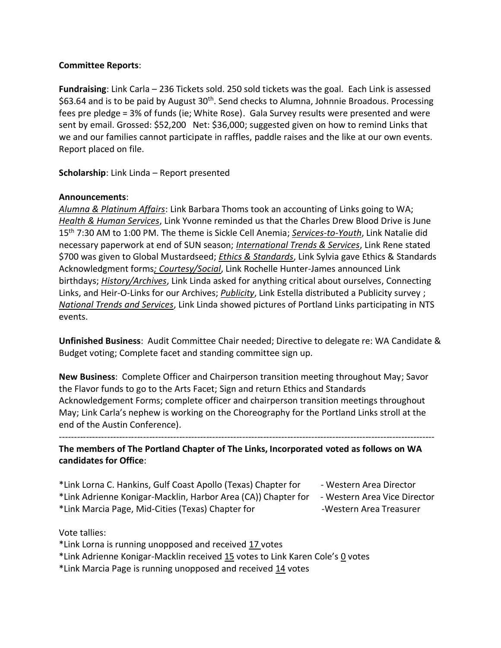### **Committee Reports**:

**Fundraising**: Link Carla – 236 Tickets sold. 250 sold tickets was the goal. Each Link is assessed \$63.64 and is to be paid by August 30<sup>th</sup>. Send checks to Alumna, Johnnie Broadous. Processing fees pre pledge = 3% of funds (ie; White Rose). Gala Survey results were presented and were sent by email. Grossed: \$52,200 Net: \$36,000; suggested given on how to remind Links that we and our families cannot participate in raffles, paddle raises and the like at our own events. Report placed on file.

**Scholarship**: Link Linda – Report presented

## **Announcements**:

*Alumna & Platinum Affairs*: Link Barbara Thoms took an accounting of Links going to WA; *Health & Human Services*, Link Yvonne reminded us that the Charles Drew Blood Drive is June 15th 7:30 AM to 1:00 PM. The theme is Sickle Cell Anemia; *Services-to-Youth*, Link Natalie did necessary paperwork at end of SUN season; *International Trends & Services*, Link Rene stated \$700 was given to Global Mustardseed; *Ethics & Standards*, Link Sylvia gave Ethics & Standards Acknowledgment forms*; Courtesy/Social*, Link Rochelle Hunter-James announced Link birthdays; *History/Archives*, Link Linda asked for anything critical about ourselves, Connecting Links, and Heir-O-Links for our Archives; *Publicity*, Link Estella distributed a Publicity survey ; *National Trends and Services*, Link Linda showed pictures of Portland Links participating in NTS events.

**Unfinished Business**: Audit Committee Chair needed; Directive to delegate re: WA Candidate & Budget voting; Complete facet and standing committee sign up.

**New Business**: Complete Officer and Chairperson transition meeting throughout May; Savor the Flavor funds to go to the Arts Facet; Sign and return Ethics and Standards Acknowledgement Forms; complete officer and chairperson transition meetings throughout May; Link Carla's nephew is working on the Choreography for the Portland Links stroll at the end of the Austin Conference).

**The members of The Portland Chapter of The Links, Incorporated voted as follows on WA candidates for Office**:

-----------------------------------------------------------------------------------------------------------------------------

- \*Link Lorna C. Hankins, Gulf Coast Apollo (Texas) Chapter for Western Area Director \*Link Adrienne Konigar-Macklin, Harbor Area (CA)) Chapter for - Western Area Vice Director
- \*Link Marcia Page, Mid-Cities (Texas) Chapter for -Western Area Treasurer
- Vote tallies:
- \*Link Lorna is running unopposed and received 17 votes
- \*Link Adrienne Konigar-Macklin received 15 votes to Link Karen Cole's 0 votes
- \*Link Marcia Page is running unopposed and received 14 votes
- 
- 
-